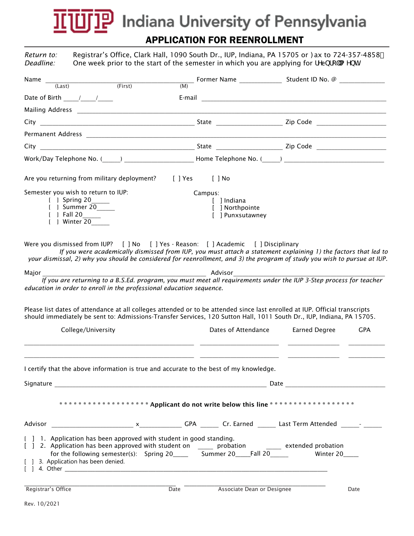## **믿 Indiana University of Pennsylvania** APPLICATION FOR REENROLLMENT

*Return to: Deadline:*  Registrar's Office, Clark Hall, 1090 South Dr., IUP, Indiana, PA 15705 or : ax to 724-357-4858 One week prior to the start of the semester in which you are applying for fYebfc"a Ybh

| Name<br>$\overline{\hspace{1cm}}$ (First)<br>(Last)                                                                                                                                                                                                                                                                               |                                                               |                             |
|-----------------------------------------------------------------------------------------------------------------------------------------------------------------------------------------------------------------------------------------------------------------------------------------------------------------------------------|---------------------------------------------------------------|-----------------------------|
| Date of Birth 1 1                                                                                                                                                                                                                                                                                                                 |                                                               |                             |
|                                                                                                                                                                                                                                                                                                                                   |                                                               |                             |
|                                                                                                                                                                                                                                                                                                                                   |                                                               |                             |
| Permanent Address 2008 2009 2009 2009 2010 2021 2022 2023 2024 2025 2020 2021 2022 2023 2024 2025 2026 2027 20                                                                                                                                                                                                                    |                                                               |                             |
|                                                                                                                                                                                                                                                                                                                                   |                                                               |                             |
|                                                                                                                                                                                                                                                                                                                                   |                                                               |                             |
| Are you returning from military deployment? [ ] Yes [ ] No                                                                                                                                                                                                                                                                        |                                                               |                             |
| Semester you wish to return to IUP:<br>[ ] Spring 20_____<br>[ ] Summer 20<br>[ ] Fall 20<br>[ ] Winter 20                                                                                                                                                                                                                        | Campus:<br>[ ] Indiana<br>[ ] Northpointe<br>[ ] Punxsutawney |                             |
| Were you dismissed from IUP? [ ] No [ ] Yes - Reason: [ ] Academic [ ] Disciplinary<br>If you were academically dismissed from IUP, you must attach a statement explaining 1) the factors that led to<br>your dismissal, 2) why you should be considered for reenrollment, and 3) the program of study you wish to pursue at IUP. |                                                               |                             |
| $\frac{1}{2}$ Advisor $\frac{1}{2}$ Advisor extending to a B.S.Ed. program, you must meet all requirements under the IUP 3-Step process for teacher<br>Major<br>education in order to enroll in the professional education sequence.                                                                                              |                                                               |                             |
| Please list dates of attendance at all colleges attended or to be attended since last enrolled at IUP. Official transcripts<br>should immediately be sent to: Admissions-Transfer Services, 120 Sutton Hall, 1011 South Dr., IUP, Indiana, PA 15705.                                                                              |                                                               |                             |
| College/University                                                                                                                                                                                                                                                                                                                | Dates of Attendance                                           | Earned Degree<br><b>GPA</b> |
| I certify that the above information is true and accurate to the best of my knowledge.                                                                                                                                                                                                                                            |                                                               |                             |
| ****************** * Applicant do not write below this line ********************                                                                                                                                                                                                                                                  |                                                               |                             |
|                                                                                                                                                                                                                                                                                                                                   |                                                               |                             |
| [ ] 1. Application has been approved with student in good standing.<br>[ ] 2. Application has been approved with student on ______ probation _______ extended probation<br>for the following semester(s): Spring 20______ Summer 20_____Fall 20______ Winter 20____<br>[ ] 3. Application has been denied.                        |                                                               |                             |
| Registrar's Office<br>$\overline{Date}$                                                                                                                                                                                                                                                                                           | Associate Dean or Designee                                    | Date                        |